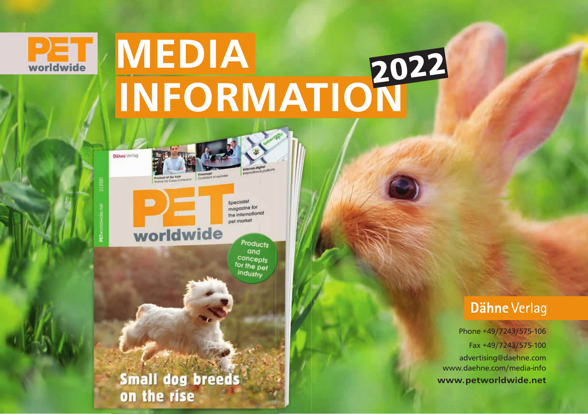

# **PET MEDIA** INFORMATION<sup>2022</sup>

Dähne Verlag

 $\blacksquare$ 

snecialist magazine for the international net market

# worldwide

Products and concepts for the pet industry

Small dog breeds on the rise

### **Dähne Verlag**

Phone +49/7243/575-106 Fax +49/7243/575-100 advertising@daehne.com www.daehne.com/media-info www.petworldwide.net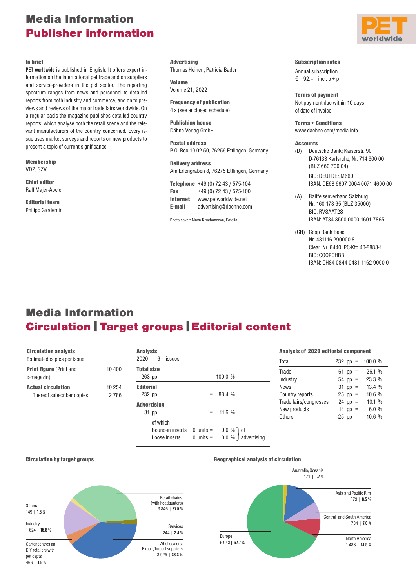### Media Information Publisher information

#### In brief

**PET worldwide** is published in English. It offers expert information on the international pet trade and on suppliers and service-providers in the pet sector. The reporting spectrum ranges from news and personnel to detailed reports from both industry and commerce, and on to previews and reviews of the major trade fairs worldwide. On a regular basis the magazine publishes detailed country reports, which analyse both the retail scene and the relevant manufacturers of the country concerned. Every issue uses market surveys and reports on new products to present a topic of current significance.

Membership VDZ, SZV

Chief editor Ralf Majer-Abele

Editorial team Philipp Gardemin

**Advertising** Thomas Heinen, Patricia Bader

Volume Volume 21, 2022

Frequency of publication 4 x (see enclosed schedule)

Publishing house Dähne Verlag GmbH

Postal address P.O. Box 10 02 50, 76256 Ettlingen, Germany

Delivery address Am Erlengraben 8, 76275 Ettlingen, Germany

|                 | Telephone $+49(0)$ 72 43 / 575-104 |
|-----------------|------------------------------------|
| Fax             | +49 (0) 72 43 / 575-100            |
| <b>Internet</b> | www.petworldwide.net               |
| E-mail          | advertising@daehne.com             |

Photo cover: Maya Kruchancova, Fotolia

#### Subscription rates

Annual subscription  $6$  92.- incl.  $p + p$ 

Terms of payment Net payment due within 10 days of date of invoice

Terms + Conditions www.daehne.com/media-info

#### **Accounts**

(D) Deutsche Bank; Kaiserstr. 90 D-76133 Karlsruhe, Nr. 714 600 00 (BLZ 660 700 04) BIC: DEUTDESM660

IBAN: DE68 6607 0004 0071 4600 00

- (A) Raiffeisenverband Salzburg Nr. 160 178 65 (BLZ 35000) BIC: RVSAAT2S IBAN: AT84 3500 0000 1601 7865
- (CH) Coop Bank Basel Nr. 481116.290000-8 Clear. Nr. 8440, PC-Kto 40-8888-1 BIC: COOPCHBB IBAN: CH84 0844 0481 1162 9000 0

### Media Information Circulation | Target groups | Editorial content

| <b>Circulation analysis</b><br>Estimated copies per issue |                | <b>Analysis</b>                               |                            |                                      | <b>Analysis of 2020 editorial component</b>      |                                     |                         |
|-----------------------------------------------------------|----------------|-----------------------------------------------|----------------------------|--------------------------------------|--------------------------------------------------|-------------------------------------|-------------------------|
|                                                           |                | $2020 = 6$<br>issues                          |                            | Total                                | $232$ pp =                                       | 100.0%                              |                         |
| <b>Print figure (Print and)</b><br>e-magazin)             | 10 400         | <b>Total size</b><br>263 pp                   |                            | $= 100.0 %$                          | Trade<br>Industry                                | 61 pp $=$<br>$54$ pp =              | 26.1 %<br>23.3 %        |
| <b>Actual circulation</b><br>Thereof subscriber copies    | 10 254<br>2786 | <b>Editorial</b><br>232 pp                    |                            | $= 88.4 \%$                          | News<br>Country reports                          | $31$ pp =<br>$25$ pp =              | 13.4%<br>10.6%          |
|                                                           |                | <b>Advertising</b><br>31 pp                   | $=$                        | 11.6 %                               | Trade fairs/congresses<br>New products<br>Others | $24$ pp =<br>14 pp $=$<br>$25$ pp = | 10.1%<br>6.0%<br>10.6 % |
|                                                           |                | of which<br>Bound-in inserts<br>Loose inserts | $0$ units =<br>$0$ units = | $0.0 \%$ 1 of<br>$0.0\%$ advertising |                                                  |                                     |                         |



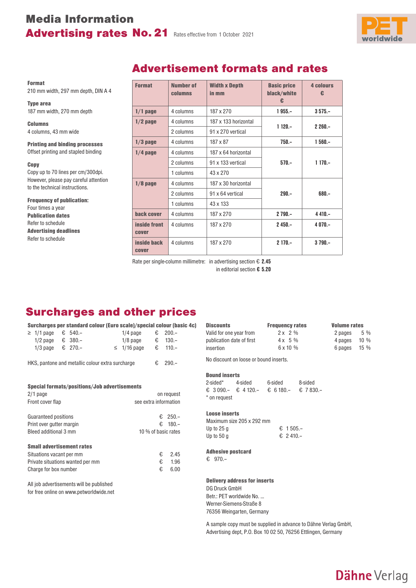# Media Information Advertising rates No. 21 Rates effective from 1 October 2021



Format 210 mm width, 297 mm depth, DIN A 4

Type area 187 mm width, 270 mm depth

Columns 4 columns, 43 mm wide

Printing and binding processes Offset printing and stapled binding

#### Copy

Copy up to 70 lines per cm/300dpi. However, please pay careful attention to the technical instructions.

### Frequency of publication: Four times a year Publication dates Refer to schedule Advertising deadlines

Refer to schedule

### Advertisement formats and rates

| <b>Format</b>               | Number of<br><b>columns</b> | <b>Width x Depth</b><br>in mm | <b>Basic price</b><br>black/white<br>€ | <b>4 colours</b><br>€ |
|-----------------------------|-----------------------------|-------------------------------|----------------------------------------|-----------------------|
| $1/1$ page                  | 4 columns                   | 187 x 270                     | $1955 -$                               | $3575 -$              |
| $1/2$ page                  | 4 columns                   | 187 x 133 horizontal          | $1120 -$                               | $2260 -$              |
|                             | 2 columns                   | 91 x 270 vertical             |                                        |                       |
| $1/3$ page                  | 4 columns                   | 187 x 87                      | $750 -$                                | $1560 -$              |
| $1/4$ page                  | 4 columns                   | 187 x 64 horizontal           |                                        |                       |
|                             | 2 columns                   | 91 x 133 vertical             | $570 -$                                | $1170 -$              |
|                             | 1 columns                   | 43 x 270                      |                                        |                       |
| $1/8$ page                  | 4 columns                   | 187 x 30 horizontal           |                                        |                       |
|                             | 2 columns                   | 91 x 64 vertical              | $290 -$                                | $680 -$               |
|                             | 1 columns                   | 43 x 133                      |                                        |                       |
| back cover                  | 4 columns                   | 187 x 270                     | $2790 -$                               | $4410 -$              |
| inside front<br>cover       | 4 columns                   | 187 x 270                     | $2450 -$                               | $4070 -$              |
| <b>inside back</b><br>cover | 4 columns                   | 187 x 270                     | $2170 -$                               | $3790 -$              |

Rate per single-column millimetre: in advertising section € **2.45** in editorial section **€ 5.20**

### Surcharges and other prices

|                           |  | Surcharges per standard colour (Euro scale)/special colour (basic 4c) |                  |                  |  |
|---------------------------|--|-----------------------------------------------------------------------|------------------|------------------|--|
| $\geq$ 1/1 page € 540.-   |  |                                                                       | $1/4$ page       | € 200.–          |  |
| 1/2 page $\epsilon$ 380.- |  |                                                                       | $1/8$ page       | $\epsilon$ 130.- |  |
| 1/3 page $\epsilon$ 270.- |  |                                                                       | $\leq$ 1/16 page | € 110.–          |  |

HKS, pantone and metallic colour extra surcharge  $\epsilon$  290.–

| Special formats/positions/Job advertisements<br>$2/1$ page<br>Front cover flap                                            | on request<br>see extra information                 |                      |
|---------------------------------------------------------------------------------------------------------------------------|-----------------------------------------------------|----------------------|
| Guaranteed positions<br>Print over gutter margin<br>Bleed additional 3 mm                                                 | $E = 250 -$<br>€.<br>$180 -$<br>10 % of basic rates |                      |
| <b>Small advertisement rates</b><br>Situations vacant per mm<br>Private situations wanted per mm<br>Charge for box number | €<br>€<br>€                                         | 2.45<br>1.96<br>6.00 |

All job advertisements will be published for free online on www.petworldwide.net

| <b>Discounts</b>          | <b>Frequency rates</b> | <b>Volume rates</b> |
|---------------------------|------------------------|---------------------|
| Valid for one vear from   | $2x + 2\%$             | 2 pages<br>5 %      |
| publication date of first | $4x + 5\%$             | $10\%$<br>4 pages   |
| insertion                 | $6 \times 10 \%$       | 6 pages<br>15 %     |

No discount on loose or bound inserts.

### Bound inserts

| 2-sided*     | 4-sided | 6-sided                             | 8-sided |
|--------------|---------|-------------------------------------|---------|
|              |         | € 3090.- € 4120.- € 6180.- € 7830.- |         |
| * on request |         |                                     |         |

#### Loose inserts

| Maximum size 205 x 292 mm |           |
|---------------------------|-----------|
| Up to 25 g                | € 1.505.- |
| Up to 50 g                | € 2.410.- |

### Adhesive postcard

€ 970.–

### Delivery address for inserts DG Druck GmbH

Betr.: PET worldwide No. … Werner-Siemens-Straße 8 76356 Weingarten, Germany

A sample copy must be supplied in advance to Dähne Verlag GmbH, Advertising dept, P.O. Box 10 02 50, 76256 Ettlingen, Germany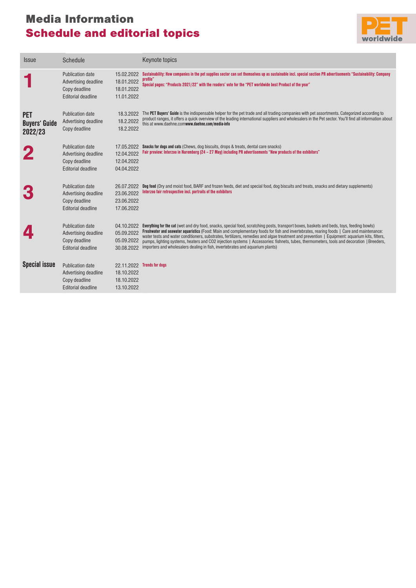# Media Information Schedule and editorial topics



| Sustainability: How companies in the pet supplies sector can set themselves up as sustainable incl. special section PR advertisements "Sustainability: Company<br><b>Publication date</b><br>15.02.2022<br>profile"<br>18.01.2022<br>Advertising deadline<br>Special pages: "Products 2021/22" with the readers' vote for the "PET worldwide best Product of the year"<br>Copy deadline<br>18.01.2022<br><b>Editorial deadline</b><br>11.01.2022<br>18.3.2022 The PET Buyers' Guide is the indispensable helper for the pet trade and all trading companies with pet assortments. Categorized according to<br><b>Publication date</b><br><b>PET</b><br>product ranges, it offers a quick overview of the leading international suppliers and wholesalers in the Pet sector. You'll find all information about<br>18.2.2022<br>Advertising deadline<br><b>Buyers' Guide</b><br>this at www.daehne.comwww.daehne.com/media-info<br>Copy deadline<br>18.2.2022<br>2022/23<br><b>Publication date</b><br><b>Snacks for dogs and cats</b> (Chews, dog biscuits, drops & treats, dental care snacks)<br>17.05.2022<br>Fair preview: Interzoo in Nuremberg (24 - 27 May) including PR advertisements "New products of the exhibitors"<br>12.04.2022<br>Advertising deadline<br>12.04.2022<br>Copy deadline<br><b>Editorial deadline</b><br>04.04.2022<br><b>Publication date</b><br>Dog food (Dry and moist food, BARF and frozen feeds, diet and special food, dog biscuits and treats, snacks and dietary supplements)<br>26.07.2022<br>Interzoo fair retrospective incl. portraits of the exhibitors<br>23.06.2022<br>Advertising deadline<br>Copy deadline<br>23.06.2022<br>17.06.2022<br><b>Editorial deadline</b><br><b>Publication date</b><br>04.10.2022<br>Everything for the cat (wet and dry food, snacks, special food, scratching posts, transport boxes, baskets and beds, toys, feeding bowls)<br>Freshwater and seawater aquaristics (Food: Main and complementary foods for fish and invertebrates, rearing foods   Care and maintenance:<br>05.09.2022<br>Advertising deadline<br>water tests and water conditioners, substrates, fertilizers, remedies and algae treatment and prevention   Equipment: aquarium kits, filters,<br>Copy deadline<br>05.09.2022<br>pumps, lighting systems, heaters and CO2 injection systems   Accessories: fishnets, tubes, thermometers, tools and decoration   Breeders,<br>importers and wholesalers dealing in fish, invertebrates and aquarium plants)<br><b>Editorial deadline</b><br>30.08.2022<br><b>Special issue</b><br><b>Publication date</b><br>22.11.2022 Trends for dogs<br>18.10.2022<br>Advertising deadline<br>18.10.2022<br>Copy deadline<br><b>Editorial deadline</b><br>13.10.2022 | <b>Issue</b> | Schedule | Keynote topics |
|-----------------------------------------------------------------------------------------------------------------------------------------------------------------------------------------------------------------------------------------------------------------------------------------------------------------------------------------------------------------------------------------------------------------------------------------------------------------------------------------------------------------------------------------------------------------------------------------------------------------------------------------------------------------------------------------------------------------------------------------------------------------------------------------------------------------------------------------------------------------------------------------------------------------------------------------------------------------------------------------------------------------------------------------------------------------------------------------------------------------------------------------------------------------------------------------------------------------------------------------------------------------------------------------------------------------------------------------------------------------------------------------------------------------------------------------------------------------------------------------------------------------------------------------------------------------------------------------------------------------------------------------------------------------------------------------------------------------------------------------------------------------------------------------------------------------------------------------------------------------------------------------------------------------------------------------------------------------------------------------------------------------------------------------------------------------------------------------------------------------------------------------------------------------------------------------------------------------------------------------------------------------------------------------------------------------------------------------------------------------------------------------------------------------------------------------------------------------------------------------------------------------------------------------------------------------------------------------------------------------------------------------------------------------------------------------------------------------------------------------------------|--------------|----------|----------------|
|                                                                                                                                                                                                                                                                                                                                                                                                                                                                                                                                                                                                                                                                                                                                                                                                                                                                                                                                                                                                                                                                                                                                                                                                                                                                                                                                                                                                                                                                                                                                                                                                                                                                                                                                                                                                                                                                                                                                                                                                                                                                                                                                                                                                                                                                                                                                                                                                                                                                                                                                                                                                                                                                                                                                                     |              |          |                |
|                                                                                                                                                                                                                                                                                                                                                                                                                                                                                                                                                                                                                                                                                                                                                                                                                                                                                                                                                                                                                                                                                                                                                                                                                                                                                                                                                                                                                                                                                                                                                                                                                                                                                                                                                                                                                                                                                                                                                                                                                                                                                                                                                                                                                                                                                                                                                                                                                                                                                                                                                                                                                                                                                                                                                     |              |          |                |
|                                                                                                                                                                                                                                                                                                                                                                                                                                                                                                                                                                                                                                                                                                                                                                                                                                                                                                                                                                                                                                                                                                                                                                                                                                                                                                                                                                                                                                                                                                                                                                                                                                                                                                                                                                                                                                                                                                                                                                                                                                                                                                                                                                                                                                                                                                                                                                                                                                                                                                                                                                                                                                                                                                                                                     |              |          |                |
|                                                                                                                                                                                                                                                                                                                                                                                                                                                                                                                                                                                                                                                                                                                                                                                                                                                                                                                                                                                                                                                                                                                                                                                                                                                                                                                                                                                                                                                                                                                                                                                                                                                                                                                                                                                                                                                                                                                                                                                                                                                                                                                                                                                                                                                                                                                                                                                                                                                                                                                                                                                                                                                                                                                                                     |              |          |                |
|                                                                                                                                                                                                                                                                                                                                                                                                                                                                                                                                                                                                                                                                                                                                                                                                                                                                                                                                                                                                                                                                                                                                                                                                                                                                                                                                                                                                                                                                                                                                                                                                                                                                                                                                                                                                                                                                                                                                                                                                                                                                                                                                                                                                                                                                                                                                                                                                                                                                                                                                                                                                                                                                                                                                                     |              |          |                |
|                                                                                                                                                                                                                                                                                                                                                                                                                                                                                                                                                                                                                                                                                                                                                                                                                                                                                                                                                                                                                                                                                                                                                                                                                                                                                                                                                                                                                                                                                                                                                                                                                                                                                                                                                                                                                                                                                                                                                                                                                                                                                                                                                                                                                                                                                                                                                                                                                                                                                                                                                                                                                                                                                                                                                     |              |          |                |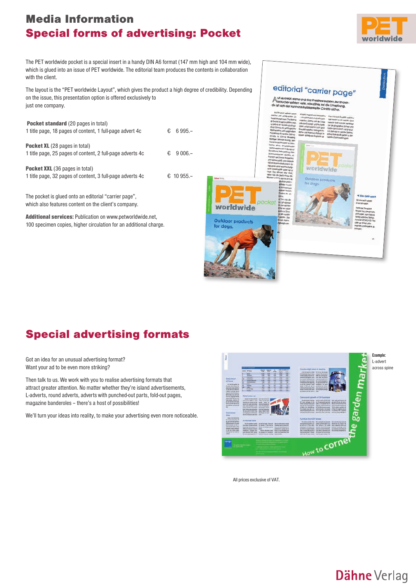### Media Information Special forms of advertising: Pocket



The PET worldwide pocket is a special insert in a handy DIN A6 format (147 mm high and 104 mm wide), which is glued into an issue of PET worldwide. The editorial team produces the contents in collaboration with the client.

The layout is the "PET worldwide Layout", which gives the product a high degree of credibility. Depending on the issue, this presentation option is offered exclusively to just one company.

| <b>Pocket standard (20 pages in total)</b><br>1 title page, 18 pages of content, 1 full-page advert 4c | €  | $6.995 -$  |
|--------------------------------------------------------------------------------------------------------|----|------------|
| <b>Pocket XL</b> (28 pages in total)<br>1 title page, 25 pages of content, 2 full-page adverts 4c      | €. | $9006 -$   |
| <b>Pocket XXL</b> (36 pages in total)<br>1 title page, 32 pages of content, 3 full-page adverts 4c     |    | € 10 955 – |

The pocket is glued onto an editorial "carrier page", which also features content on the client's company.

Additional services: Publication on www.petworldwide.net, 100 specimen copies, higher circulation for an additional charge.



### Special advertising formats

Got an idea for an unusual advertising format? Want your ad to be even more striking?

Then talk to us. We work with you to realise advertising formats that attract greater attention. No matter whether they're island advertisements, L-adverts, round adverts, adverts with punched-out parts, fold-out pages, magazine banderoles – there's a host of possibilities!

We'll turn your ideas into reality, to make your advertising even more noticeable.



All prices exclusive of VAT.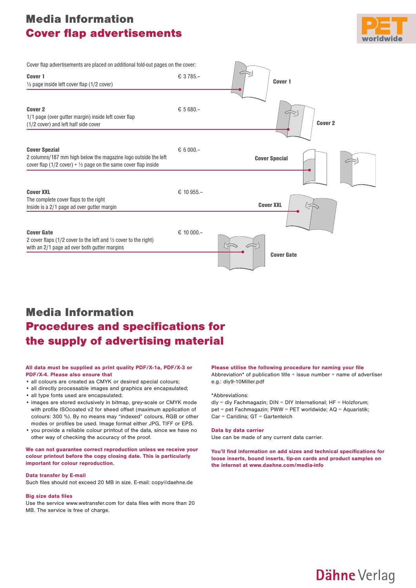### Media Information **Cover flap advertisements**



| Cover flap advertisements are placed on additional fold-out pages on the cover:                                                                                     |              |                      |
|---------------------------------------------------------------------------------------------------------------------------------------------------------------------|--------------|----------------------|
| Cover 1<br>1/2 page inside left cover flap (1/2 cover)                                                                                                              | € 3785.-     | Cover 1              |
| <b>Cover 2</b><br>1/1 page (over gutter margin) inside left cover flap<br>(1/2 cover) and left half side cover                                                      | € 5680.-     | <b>Cover 2</b>       |
| <b>Cover Spezial</b><br>2 columns/187 mm high below the magazine logo outside the left<br>cover flap (1/2 cover) + $\frac{1}{2}$ page on the same cover flap inside | $& 6000 -$   | <b>Cover Special</b> |
| <b>Cover XXL</b><br>The complete cover flaps to the right<br>Inside is a 2/1 page ad over gutter margin                                                             | $& 10955 -$  | <b>Cover XXL</b>     |
| <b>Cover Gate</b><br>2 cover flaps (1/2 cover to the left and $\frac{1}{2}$ cover to the right)<br>with an 2/1 page ad over both gutter margins                     | $E$ 10 000.- | <b>Cover Gate</b>    |

# Media Information **Procedures and specifications for** the supply of advertising material

#### **All data must be supplied as print quality PDF/X-1a, PDF/X-3 or PDF/X-4. Please also ensure that**

- all colours are created as CMYK or desired special colours;
- all directly processable images and graphics are encapsulated;
- all type fonts used are encapsulated;
- images are stored exclusively in bitmap, grey-scale or CMYK mode with profile ISOcoated v2 for sheed offset (maximum application of colours: 300 %). By no means may "indexed" colours, RGB or other modes or profiles be used. Image format either JPG, TIFF or EPS.
- you provide a reliable colour printout of the data, since we have no other way of checking the accuracy of the proof.

#### **We can not guarantee correct reproduction unless we receive your colour printout before the copy closing date. This is particularly important for colour reproduction.**

#### **Data transfer by E-mail**

Such files should not exceed 20 MB in size. E-mail: copy@daehne.de

#### **Big size data files**

Use the service www.wetransfer.com for data files with more than 20 MB. The service is free of charge.

#### Please utilise the following procedure for naming your file

Abbreviation\* of publication title  $+$  issue number  $+$  name of advertiser e.g.: diy9-10Miller.pdf

#### \*Abbreviations:

 $div = div$  Fachmagazin: DIN = DIY International: HF = Holzforum: pet = pet Fachmagazin; PWW = PET worldwide; AQ = Aquaristik; Car = Caridina; GT = Gartenteich

#### **Data by data carrier**

Use can be made of any current data carrier.

**You'll find information on add sizes and technical specifications for loose inserts, bound inserts, tip-on cards and product samples on the internet at www.daehne.com/media-info**

**Dähne Verlag**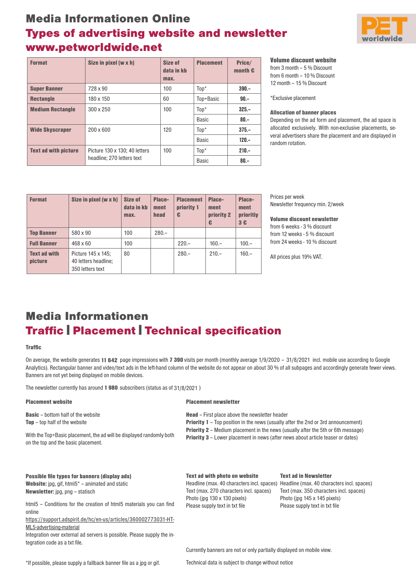# Media Informationen Online Types of advertising website and newsletter www.petworldwide.net



| <b>Format</b>               | Size in pixel (w x h)         | Size of<br>data in kb<br>max. | <b>Placement</b> | Price/<br>month $\epsilon$ |
|-----------------------------|-------------------------------|-------------------------------|------------------|----------------------------|
| <b>Super Banner</b>         | 728 x 90                      | 100                           | $Top*$           | $390 -$                    |
| <b>Rectangle</b>            | 180 x 150                     | 60                            | Top+Basic        | $90 -$                     |
| <b>Medium Rectangle</b>     | 300 x 250                     | 100                           | $\text{Top}^*$   | $325 -$                    |
|                             |                               |                               | Basic            | $80 -$                     |
| <b>Wide Skyscraper</b>      | 200 x 600                     | 120                           | $\text{Top}^*$   | $375 -$                    |
|                             |                               |                               | Basic            | $120 -$                    |
| <b>Text ad with picture</b> | Picture 130 x 130; 40 letters | 100                           | $Top*$           | $210 -$                    |
|                             | headline; 270 letters text    |                               | <b>Basic</b>     | $80 -$                     |

Volume discount website

from 3 month – 5 % Discount from 6 month – 10 % Discount 12 month – 15 % Discount

\*Exclusive placement

### Allocation of banner places

Depending on the ad form and placement, the ad space is allocated exclusively. With non-exclusive placements, several advertisers share the placement and are displayed in random rotation.

| <b>Format</b>                         | Size in pixel (w x h)                                          | <b>Size of</b><br>data in kb<br>max. | Place-<br>ment<br>head | <b>Placement</b><br>priority 1<br>€ | Place-<br>ment<br>priority 2<br>€ | Place-<br>ment<br>prioritiy<br>3E |
|---------------------------------------|----------------------------------------------------------------|--------------------------------------|------------------------|-------------------------------------|-----------------------------------|-----------------------------------|
| <b>Top Banner</b>                     | 580 x 90                                                       | 100                                  | $280 -$                |                                     |                                   |                                   |
| <b>Full Banner</b>                    | $468\times 60$                                                 | 100                                  |                        | $220 -$                             | $160 -$                           | $100 -$                           |
| <b>Text ad with</b><br><b>picture</b> | Picture 145 x 145;<br>40 letters headline;<br>350 letters text | 80                                   |                        | $280 -$                             | $210 -$                           | $160 -$                           |

Prices per week Newsletter frequency min. 2/week

Volume discount newsletter from 6 weeks - 3 % discount from 12 weeks - 5 % discount from 24 weeks - 10 % discount

All prices plus 19% VAT.

### Media Informationen **Traffic | Placement | Technical specification**

#### **Traffic**

On average, the website generates 11 642 page impressions with 7 390 visits per month (monthly average 1/9/2020 - 31/8/2021 incl. mobile use according to Google Analytics). Rectangular banner and video/text ads in the left-hand column of the website do not appear on about 30 % of all subpages and accordingly generate fewer views. Banners are not yet being displayed on mobile devices.

The newsletter currently has around 1980 subscribers (status as of 31/8/2021)

| <b>Placement website</b>                                                                                    | <b>Placement newsletter</b>                                                                                                                                                                                                                                                                                                            |                                                                                                                       |  |  |  |
|-------------------------------------------------------------------------------------------------------------|----------------------------------------------------------------------------------------------------------------------------------------------------------------------------------------------------------------------------------------------------------------------------------------------------------------------------------------|-----------------------------------------------------------------------------------------------------------------------|--|--|--|
| <b>Basic</b> – bottom half of the website<br><b>Top</b> – top half of the website                           | <b>Head</b> – First place above the newsletter header<br><b>Priority 1</b> – Top position in the news (usually after the 2nd or 3rd announcement)<br><b>Priority 2</b> – Medium placement in the news (usually after the 5th or 6th message)<br><b>Priority 3</b> – Lower placement in news (after news about article teaser or dates) |                                                                                                                       |  |  |  |
| With the Top+Basic placement, the ad will be displayed randomly both<br>on the top and the basic placement. |                                                                                                                                                                                                                                                                                                                                        |                                                                                                                       |  |  |  |
| Possible file types for banners (display ads)                                                               | <b>Text ad with photo on website</b>                                                                                                                                                                                                                                                                                                   | <b>Text ad in Newsletter</b>                                                                                          |  |  |  |
| <b>Website:</b> $ipq$ , $qif$ , $html5^*$ – animated and static<br><b>Newsletter:</b> jpg, png – statisch   | Headline (max. 40 characters incl. spaces)<br>Text (max. 270 characters incl. spaces)<br>Photo (jpg 130 x 130 pixels)                                                                                                                                                                                                                  | Headline (max. 40 characters incl. spaces)<br>Text (max. 350 characters incl. spaces)<br>Photo (ipg 145 x 145 pixels) |  |  |  |
| html5 – Conditions for the creation of html5 materials you can find<br>online                               | Please supply text in txt file                                                                                                                                                                                                                                                                                                         | Please supply text in txt file                                                                                        |  |  |  |
| https://support.adspirit.de/hc/en-us/articles/360002773031-HT-                                              |                                                                                                                                                                                                                                                                                                                                        |                                                                                                                       |  |  |  |
| ML5-advertising-material                                                                                    |                                                                                                                                                                                                                                                                                                                                        |                                                                                                                       |  |  |  |
| Integration over external ad servers is possible. Please supply the in-                                     |                                                                                                                                                                                                                                                                                                                                        |                                                                                                                       |  |  |  |
| tegration code as a txt file.                                                                               |                                                                                                                                                                                                                                                                                                                                        |                                                                                                                       |  |  |  |
|                                                                                                             | Currently banners are not or only partially displayed on mobile view.                                                                                                                                                                                                                                                                  |                                                                                                                       |  |  |  |

Technical data is subject to change without notice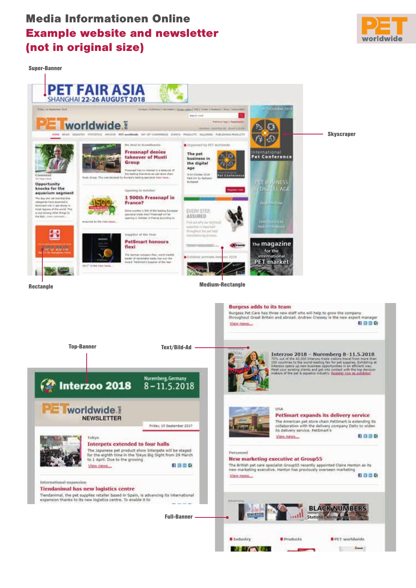### Media Informationen Online Example website and newsletter (not in original size)



Super-Banner



**A BY A BAR** 

 $-$ 

**ST** 

.